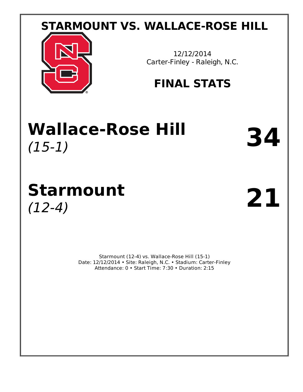# **STARMOUNT VS. WALLACE-ROSE HILL**



12/12/2014 Carter-Finley - Raleigh, N.C.

# **FINAL STATS**

# **Wallace-Rose Hill** (15-1) **34**

# **Starmount** (12-4) **21**

Starmount (12-4) vs. Wallace-Rose Hill (15-1) Date: 12/12/2014 • Site: Raleigh, N.C. • Stadium: Carter-Finley Attendance: 0 • Start Time: 7:30 • Duration: 2:15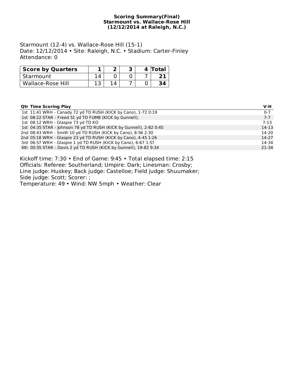#### **Scoring Summary(Final) Starmount vs. Wallace-Rose Hill (12/12/2014 at Raleigh, N.C.)**

Starmount (12-4) vs. Wallace-Rose Hill (15-1) Date: 12/12/2014 • Site: Raleigh, N.C. • Stadium: Carter-Finley Attendance: 0

| <b>Score by Quarters</b> |  |  | 4 Total |
|--------------------------|--|--|---------|
| Starmount                |  |  |         |
| Wallace-Rose Hill        |  |  |         |

#### **Qtr Time Scoring Play V-H**

| 1st 11:41 WRH - Canady 72 yd TD RUSH (KICK by Cano), 1-72 0:19      | $0 - 7$   |
|---------------------------------------------------------------------|-----------|
| 1st 08:22 STAR - Freed 51 yd TD FUMB (KICK by Gunnell),             | $7 - 7$   |
| 1st 08:12 WRH - Glaspie 73 yd TD KO                                 | 7-13      |
| 1st 04:35 STAR - Johnson 78 yd TD RUSH (KICK by Gunnell), 2-82 0:45 | $14-13$   |
| 2nd 08:43 WRH - Smith 10 yd TD RUSH (KICK by Cano), 8-56 2:30       | 14-20     |
| 2nd 05:18 WRH - Glaspie 23 yd TD RUSH (KICK by Cano), 4-45 1:26     | $14-27$   |
| 3rd 06:57 WRH - Glaspie 1 yd TD RUSH (KICK by Cano), 6-67 1:57      | 14-34     |
| 4th 00:55 STAR - Davis 2 yd TD RUSH (KICK by Gunnell), 19-82 9:34   | $21 - 34$ |

Kickoff time: 7:30 • End of Game: 9:45 • Total elapsed time: 2:15 Officials: Referee: Southerland; Umpire: Dark; Linesman: Crosby; Line judge: Huskey; Back judge: Castelloe; Field judge: Shuumaker; Side judge: Scott; Scorer: ; Temperature: 49 • Wind: NW 5mph • Weather: Clear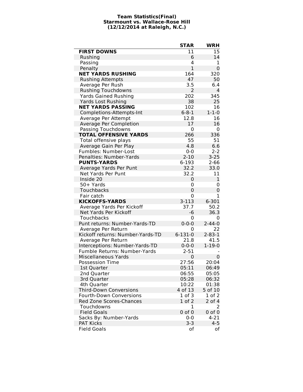#### **Team Statistics(Final) Starmount vs. Wallace-Rose Hill (12/12/2014 at Raleigh, N.C.)**

|                                  | <b>STAR</b>   | <b>WRH</b>   |
|----------------------------------|---------------|--------------|
| <b>FIRST DOWNS</b>               | 11            | 15           |
| Rushing                          | 6             | 14           |
| Passing                          | 4             | 1            |
| Penalty                          | $\mathbf{1}$  | 0            |
| <b>NET YARDS RUSHING</b>         | 164           | 320          |
| <b>Rushing Attempts</b>          | 47            | 50           |
| Average Per Rush                 | 3.5           | 6.4          |
| <b>Rushing Touchdowns</b>        | 2             | 4            |
| <b>Yards Gained Rushing</b>      | 202           | 345          |
| <b>Yards Lost Rushing</b>        | 38            | 25           |
| <b>NET YARDS PASSING</b>         | 102           | 16           |
| Completions-Attempts-Int         | $6 - 8 - 1$   | $1 - 1 - 0$  |
| Average Per Attempt              | 12.8          | 16           |
| Average Per Completion           | 17            | 16           |
| Passing Touchdowns               | 0             | 0            |
| <b>TOTAL OFFENSIVE YARDS</b>     | 266           | 336          |
| Total offensive plays            | 55            | 51           |
| Average Gain Per Play            | 4.8           | 6.6          |
| Fumbles: Number-Lost             | $0 - 0$       | $2 - 2$      |
| Penalties: Number-Yards          | $2 - 10$      | $3 - 25$     |
| <b>PUNTS-YARDS</b>               | 6-193         | $2 - 66$     |
| Average Yards Per Punt           | 32.2          | 33.0         |
| Net Yards Per Punt               | 32.2          | 11           |
| Inside 20                        | 0             | 1            |
| 50+ Yards                        | 0             | 0            |
| Touchbacks                       | 0             | 0            |
| Fair catch                       | 0             | 1            |
| <b>KICKOFFS-YARDS</b>            | $3 - 113$     | 6-301        |
| Average Yards Per Kickoff        | 37.7          | 50.2         |
| Net Yards Per Kickoff            | -6            | 36.3         |
| Touchbacks                       | 0             | 0            |
| Punt returns: Number-Yards-TD    | $0 - 0 - 0$   | $2 - 44 - 0$ |
| Average Per Return               | 0             | 22           |
| Kickoff returns: Number-Yards-TD | $6 - 131 - 0$ | $2 - 83 - 1$ |
| Average Per Return               | 21.8          | 41.5         |
| Interceptions: Number-Yards-TD   | $0 - 0 - 0$   | $1 - 19 - 0$ |
| Fumble Returns: Number-Yards     | $2 - 51$      |              |
| <b>Miscellaneous Yards</b>       | $\Omega$      | 0            |
| <b>Possession Time</b>           | 27:56         | 20:04        |
| 1st Quarter                      | 05:11         | 06:49        |
| 2nd Quarter                      | 06:55         | 05:05        |
| 3rd Quarter                      | 05:28         | 06:32        |
| 4th Quarter                      | 10:22         | 01:38        |
| <b>Third-Down Conversions</b>    | 4 of 13       | 5 of 10      |
| <b>Fourth-Down Conversions</b>   | 1 of 3        | 1 of 2       |
| Red Zone Scores-Chances          | $1$ of $2$    | $2$ of $4$   |
| Touchdowns                       | 1             | 2            |
| <b>Field Goals</b>               | $0$ of $0$    | $0$ of $0$   |
| Sacks By: Number-Yards           | $0 - 0$       | 4-21         |
| <b>PAT Kicks</b>                 | $3 - 3$       | $4 - 5$      |
| <b>Field Goals</b>               | οf            | оf           |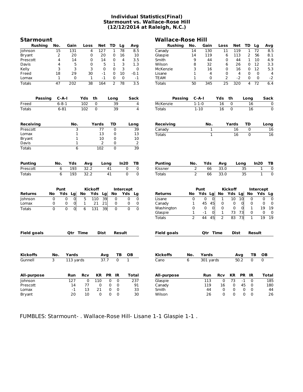#### **Individual Statistics(Final) Starmount vs. Wallace-Rose Hill (12/12/2014 at Raleigh, N.C.)**

| Starmount          |                |                     |                |                        |                |                  |                     | <b>Wallace-Rose Hill</b> |                |                 |    |                |                  |       |                  |                             |
|--------------------|----------------|---------------------|----------------|------------------------|----------------|------------------|---------------------|--------------------------|----------------|-----------------|----|----------------|------------------|-------|------------------|-----------------------------|
| <b>Rushing</b>     | No.            | Gain                | Loss           | Net                    | TD             | Lg               | Avg                 | <b>Rushing</b>           | No.            | Gain            |    | Loss           | Net              | TD    | Lg               | Avg                         |
| Johnson            | 15             | 131                 |                | 4<br>127               | 1              | 78               | 8.5                 | Canady                   | 14             | 130             |    | 11             | 119              | 1     | 72               | 8.5                         |
| Bryant             | 2              | 20                  |                | 0<br>20                | 0              | 16               | 10                  | Glaspie                  | 14             | 119             |    | 6              | 113              | 2     | 56               | 8.1                         |
| Prescott           | 4              | 14                  |                | 0<br>14                | 0              | 4                | 3.5                 | Smith                    | 9              | 44              |    | 0              | 44               | 1     | 10               | 4.9                         |
| Davis              | 4              | 5                   |                | 0<br>5                 | 1              | 3                | 1.3                 | Wilson                   | 8              | 32              |    | 6              | 26               | 0     | 12               | 3.3                         |
| Kelly              | 3              | 3                   |                | 3<br>0                 | 0              | 3                | 0                   | McKenzie                 | 3              | 16              |    | 0              | 16               | 0     | 12               | 5.3                         |
| Freed              | 18             | 29                  |                | 30<br>-1               | 0              | 10               | $-0.1$              | Lisane                   | 1              | 4               |    | 0              | 4                | 0     | 0                | 4                           |
| Lomax              | 1              | 0                   |                | $-1$<br>1              | 0              | 0                | -1                  | TEAM                     | 1              | 0               |    | 2              | $-2$             | 0     | 0                | $-2$                        |
| <b>Totals</b>      | 47             | 202                 |                | $\overline{38}$<br>164 | $\overline{2}$ | 78               | $\overline{3.5}$    | <b>Totals</b>            | 50             | 345             |    | 25             | $\overline{320}$ | 4     | 72               | 6.4                         |
|                    |                |                     |                |                        |                |                  |                     |                          |                |                 |    |                |                  |       |                  |                             |
| <b>Passing</b>     | $C-A-I$        |                     | Yds            | th                     | Long           |                  | Sack                | Passing                  |                | C-A-I           |    | Yds            | th               | Long  |                  | <b>Sack</b>                 |
| Freed              | $6 - 8 - 1$    |                     | 102            | 0                      | 39             |                  | 4                   | McKenzie                 |                | $1 - 1 - 0$     |    | 16             | 0                |       | 16               | 0                           |
| <b>Totals</b>      | $6 - 81$       |                     | 102            | 0                      | 39             |                  | 4                   | <b>Totals</b>            |                | $1 - 10$        |    | 16             | 0                |       | 16               | $\mathbf 0$                 |
| Receiving          |                | No.                 |                | Yards                  | TD             |                  | Long                | Receiving                |                | No.             |    |                | Yards            | TD    |                  | Long                        |
| Prescott           |                | 3                   |                | 77                     | 0              |                  | 39                  | Canady                   |                |                 | 1  |                | 16               | 0     |                  | 16                          |
| Lomax              |                | 1                   |                | 13                     | 0              |                  | 13                  | Totals                   |                |                 | 1  |                | 16               |       | $\Omega$         | $\overline{16}$             |
| Bryant             |                | 1                   |                | 10                     | 0              |                  | 10                  |                          |                |                 |    |                |                  |       |                  |                             |
| Davis              |                | $\mathbf{1}$        |                | 2                      | 0              |                  | 2                   |                          |                |                 |    |                |                  |       |                  |                             |
|                    |                |                     |                |                        |                |                  |                     |                          |                |                 |    |                |                  |       |                  |                             |
| <b>Totals</b>      |                | $\overline{6}$      |                | 102                    | 0              |                  | 39                  |                          |                |                 |    |                |                  |       |                  |                             |
| Punting            | No.            | Yds                 | Avg            |                        | Long           | In20             | ΤВ                  | Punting                  | No.            | Yds             |    | Avg            |                  | Long  | In20             | TВ                          |
| Prescott           | 6              | 193                 | 32.2           |                        | 41             |                  | 0<br>0              | Kissner                  | 2              | 66              |    | 33.0           |                  | 35    |                  | 1<br>0                      |
| <b>Totals</b>      | 6              | 193                 | 32.2           |                        | 41             |                  | 0<br>$\mathbf 0$    | Totals                   | $\overline{2}$ | 66              |    | 33.0           |                  | 35    |                  | $\mathbf{1}$<br>$\mathbf 0$ |
|                    |                |                     |                |                        |                |                  |                     |                          |                |                 |    |                |                  |       |                  |                             |
|                    | Punt           |                     |                | <b>Kickoff</b>         |                | <b>Intercept</b> |                     |                          |                | Punt            |    |                | <b>Kickoff</b>   |       | <b>Intercept</b> |                             |
| <b>Returns</b>     | No<br>Yds      | Lg                  | No             | Yds Lg                 | No             |                  | Yds Lg              | Returns                  | No             | Yds Lg          |    | No             | Yds Lg           |       | No               | Yds Lg                      |
| Johnson            | 0              | $\overline{0}$<br>0 | 5              | 39<br>110              | 0              |                  | 0<br>0              | Lisane                   | 0              | 0               | 0  | 1              | 10               | 10    | 0                | 0<br>0                      |
| Lomax              | 0              | 0<br>0              | 1              | 21<br>21               | 0              |                  | 0<br>0              | Canady                   | 1              | 45              | 45 | 0              | 0                | 0     | 0                | 0<br>0                      |
| <b>Totals</b>      | $\overline{0}$ | $\overline{0}$<br>0 | 6              | 39<br>131              | 0              |                  | $\overline{0}$<br>0 | Washington               | 0              | 0               | 0  | 0              | 0                | 0     | 1                | 19<br>19                    |
|                    |                |                     |                |                        |                |                  |                     | Glaspie                  | 1              | $-1$            | 0  | 1              | 73               | 73    | 0                | 0<br>0                      |
|                    |                |                     |                |                        |                |                  |                     |                          | 2              | 44              | 45 | 2              | 83               | 73    | 1                | 19<br>19                    |
|                    |                |                     |                |                        |                |                  |                     | Totals                   |                |                 |    |                |                  |       |                  |                             |
| <b>Field goals</b> |                | Qtr Time            |                | Dist                   |                | Result           |                     | <b>Field goals</b>       |                | <b>Otr Time</b> |    |                | Dist             |       | Result           |                             |
|                    |                |                     |                |                        |                |                  |                     |                          |                |                 |    |                |                  |       |                  |                             |
| <b>Kickoffs</b>    | No.            | Yards               |                | Avg                    |                | ΤВ               | OВ                  | Kickoffs                 | No.            | Yards           |    |                | Avg              |       | ΤВ               | OВ                          |
| Gunnell            | 3              | 113 yards           |                | 37.7                   |                | $\boldsymbol{0}$ | 1                   | Cano                     | 6              | 301 yards       |    |                | 50.2             |       | 0                | 0                           |
| All-purpose        |                | Run                 | Rcv            | KR                     | <b>PR</b>      | IR               | <b>Total</b>        | All-purpose              |                | Run             |    | <b>Rcv</b>     | KR               | PR IR |                  | <b>Total</b>                |
| <b>Johnson</b>     |                | 127                 | $\overline{0}$ | 110                    | 0              | $\overline{0}$   | 237                 | Glaspie                  |                | 113             |    | $\overline{0}$ | 73               | $-1$  | $\pmb{0}$        | 185                         |
| Prescott           |                | 14                  | 77             | 0                      | 0              | 0                | 91                  | Canady                   |                | 119             |    |                | 0                | 45    | 0                | 180                         |
| Lomax              |                | $-1$                | 13             | 21                     |                |                  |                     | Smith                    |                | 44              |    | 16             |                  |       |                  | 44                          |
|                    |                |                     |                |                        | 0              | 0                | 33                  |                          |                |                 |    | 0              | 0                | 0     | 0                |                             |
| <b>Bryant</b>      |                | 20                  | 10             | 0                      | 0              | $\mathsf 0$      | 30                  | Wilson                   |                | 26              |    | 0              | 0                | 0     | 0                | 26                          |

FUMBLES: Starmount- . Wallace-Rose Hill- Lisane 1-1 Glaspie 1-1 .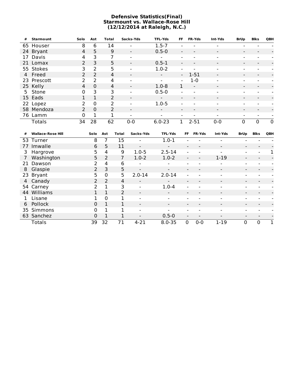#### **Defensive Statistics(Final) Starmount vs. Wallace-Rose Hill (12/12/2014 at Raleigh, N.C.)**

| #  | <b>Starmount</b> | Solo           | Ast           | Total          | Sacks-Yds                | <b>TFL-Yds</b>           | FF.            | <b>FR-Yds</b>            | Int-Yds                  | <b>BrUp</b>              | Blks                         | QBH      |
|----|------------------|----------------|---------------|----------------|--------------------------|--------------------------|----------------|--------------------------|--------------------------|--------------------------|------------------------------|----------|
|    | 65 Houser        | 8              | 6             | 14             |                          | $1.5 - 7$                |                |                          |                          |                          |                              |          |
|    | 24 Bryant        | 4              | 5             | 9              | $\blacksquare$           | $0.5 - 0$                | $\blacksquare$ |                          | -                        | $\overline{\phantom{a}}$ | $\qquad \qquad \blacksquare$ |          |
| 17 | Davis            | 4              | 3             | 7              | $\overline{\phantom{0}}$ |                          |                |                          | -                        | $\,$                     |                              |          |
|    | 21 Lomax         | $\overline{2}$ | 3             | 5              | $\overline{\phantom{a}}$ | $0.5 - 1$                |                |                          | -                        | $\blacksquare$           | -                            |          |
|    | 55 Stokes        | 3              | 2             | 5              | $\,$                     | $1.0 - 2$                | $\blacksquare$ |                          | -                        | -                        |                              |          |
|    | 4 Freed          | $\overline{2}$ | 2             | 4              | -                        | $\blacksquare$           | $\sim$         | $1 - 51$                 | $\overline{\phantom{0}}$ | $\blacksquare$           | $\qquad \qquad \blacksquare$ |          |
|    | 23 Prescott      | $\mathcal{P}$  | $\mathcal{P}$ | 4              | $\overline{\phantom{0}}$ | $\blacksquare$           | $\blacksquare$ | $1-0$                    | $\blacksquare$           | $\overline{\phantom{a}}$ | $\overline{\phantom{0}}$     |          |
|    | 25 Kelly         | 4              | $\Omega$      | 4              | $\blacksquare$           | $1.0 - 8$                | 1              | $\overline{\phantom{a}}$ | $\overline{\phantom{0}}$ | $\blacksquare$           | $\overline{\phantom{a}}$     |          |
|    | 5 Stone          | 0              | 3             | 3              | -                        | $0.5 - 0$                |                |                          |                          | $\blacksquare$           |                              |          |
|    | 15 Eads          |                | 1             | $\overline{2}$ | -                        | $\overline{\phantom{0}}$ |                |                          | $\overline{\phantom{0}}$ | $\blacksquare$           | $\overline{\phantom{0}}$     |          |
|    | 22 Lopez         | $\overline{2}$ | $\mathbf 0$   | $\mathcal{P}$  | -                        | $1.0 - 5$                |                |                          |                          | $\overline{\phantom{0}}$ |                              |          |
|    | 58 Mendoza       | $\mathcal{P}$  | $\Omega$      | 2              | $\blacksquare$           | $\blacksquare$           |                |                          | -                        | $\overline{\phantom{a}}$ | -                            |          |
|    | 76 Lamm          | 0              | 1             | 1              |                          |                          |                |                          |                          |                          |                              |          |
|    | Totals           | 34             | 28            | 62             | $0 - 0$                  | $6.0 - 23$               | 1.             | $2 - 51$                 | $0 - 0$                  | 0                        | $\Omega$                     | $\Omega$ |

| #  | <b>Wallace-Rose Hill</b> | Solo          | Ast         | Total          | Sacks-Yds                | <b>TFL-Yds</b>           | FF                       | <b>FR-Yds</b>                | Int-Yds                  | <b>BrUp</b> | <b>Blks</b> | QBH |
|----|--------------------------|---------------|-------------|----------------|--------------------------|--------------------------|--------------------------|------------------------------|--------------------------|-------------|-------------|-----|
|    | 53 Turner                | 8             |             | 15             |                          | $1.0 - 1$                |                          |                              |                          |             |             |     |
| 77 | Imwalle                  | 6             | 5           | 11             | $\blacksquare$           |                          |                          |                              | $\overline{\phantom{a}}$ |             |             |     |
| 3  | Hargrove                 | 5.            | 4           | 9              | $1.0 - 5$                | $2.5 - 14$               |                          |                              |                          | -           |             |     |
|    | Washington               | 5             | 2           | 7              | $1.0 - 2$                | $1.0 - 2$                |                          | $\qquad \qquad \blacksquare$ | $1-19$                   |             |             |     |
| 21 | Dawson                   |               | 4           | 6              | $\overline{\phantom{a}}$ | $\overline{\phantom{0}}$ | $\,$                     | $\overline{\phantom{0}}$     | $\overline{\phantom{a}}$ |             |             |     |
| 8  | Glaspie                  | 2             | 3           | 5              | $\overline{\phantom{a}}$ | $\overline{\phantom{a}}$ |                          |                              |                          |             |             |     |
|    | 23 Bryant                | 5.            | $\mathbf 0$ | 5              | $2.0 - 14$               | $2.0 - 14$               |                          |                              |                          |             |             |     |
|    | 4 Canady                 |               | 2           | 4              | $\overline{\phantom{a}}$ |                          |                          |                              |                          |             |             |     |
|    | 54 Carney                | $\mathcal{P}$ | 1           | 3              | $\overline{\phantom{0}}$ | $1.0 - 4$                | $\overline{\phantom{a}}$ |                              |                          |             |             |     |
| 44 | Williams                 |               | 1           | $\overline{2}$ | $\blacksquare$           |                          |                          |                              |                          |             |             |     |
|    | Lisane                   |               | $\Omega$    |                |                          |                          |                          |                              |                          |             |             |     |
|    | 6 Pollock                | $\Omega$      | 1           |                | $\overline{\phantom{a}}$ | $\blacksquare$           |                          |                              | $\overline{\phantom{a}}$ |             |             |     |
| 35 | Simmons                  | 0             |             |                |                          |                          |                          |                              |                          |             |             |     |
| 63 | Sanchez                  | 0             | 1           |                |                          | $0.5 - 0$                |                          |                              |                          |             |             |     |
|    | Totals                   | 39            | 32          | 71             | $4 - 21$                 | $8.0 - 35$               | $\mathbf{0}$             | $0 - 0$                      | $1 - 19$                 | $\mathbf 0$ | $\Omega$    |     |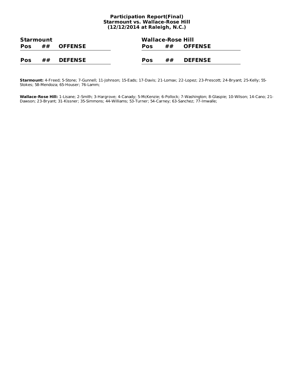#### **Participation Report(Final) Starmount vs. Wallace-Rose Hill (12/12/2014 at Raleigh, N.C.)**

| Starmount  |                      |                |            | <b>Wallace-Rose Hill</b> |    |                   |  |  |
|------------|----------------------|----------------|------------|--------------------------|----|-------------------|--|--|
| <b>Pos</b> | ##<br><b>OFFENSE</b> |                | <b>Pos</b> |                          |    | $\#$ $\#$ OFFENSE |  |  |
|            |                      |                |            |                          |    |                   |  |  |
| <b>Pos</b> | ##                   | <b>DEFENSE</b> | Pos        |                          | ## | <b>DEFENSE</b>    |  |  |

**Starmount:** 4-Freed; 5-Stone; 7-Gunnell; 11-Johnson; 15-Eads; 17-Davis; 21-Lomax; 22-Lopez; 23-Prescott; 24-Bryant; 25-Kelly; 55- Stokes; 58-Mendoza; 65-Houser; 76-Lamm;

**Wallace-Rose Hill:** 1-Lisane; 2-Smith; 3-Hargrove; 4-Canady; 5-McKenzie; 6-Pollock; 7-Washington; 8-Glaspie; 10-Wilson; 14-Cano; 21- Dawson; 23-Bryant; 31-Kissner; 35-Simmons; 44-Williams; 53-Turner; 54-Carney; 63-Sanchez; 77-Imwalle;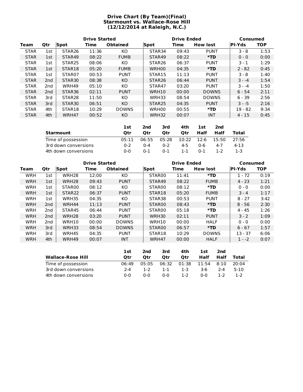#### **Drive Chart (By Team)(Final) Starmount vs. Wallace-Rose Hill (12/12/2014 at Raleigh, N.C.)**

|             |                 | <b>Drive Started</b> |       |                 |                    | <b>Drive Ended</b> | Consumed        |               |            |
|-------------|-----------------|----------------------|-------|-----------------|--------------------|--------------------|-----------------|---------------|------------|
| Team        | <b>Qtr</b>      | Spot                 | Time  | <b>Obtained</b> | <b>Spot</b>        | Time               | <b>How lost</b> | <b>PI-Yds</b> | <b>TOP</b> |
| <b>STAR</b> | 1st             | STAR <sub>26</sub>   | 11:36 | KO.             | STAR34             | 09:43              | <b>PUNT</b>     | $3 - 8$       | 1:53       |
| <b>STAR</b> | 1st             | STAR49               | 08:22 | <b>FUMB</b>     | STAR49             | 08:22              | $*TD$           | $0 - 0$       | 0:00       |
| <b>STAR</b> | 1st             | STAR <sub>25</sub>   | 08:06 | KO.             | STAR <sub>26</sub> | 06:37              | <b>PUNT</b>     | $3 - 1$       | 1:29       |
| <b>STAR</b> | 1st             | STAR <sub>18</sub>   | 05:20 | <b>FUMB</b>     | WRH00              | 04:35              | $*TD$           | $2 - 82$      | 0:45       |
| <b>STAR</b> | 1st             | STAR07               | 00:53 | <b>PUNT</b>     | STAR15             | 11:13              | <b>PUNT</b>     | $3 - 8$       | 1:40       |
| <b>STAR</b> | 2 <sub>nd</sub> | STAR <sub>30</sub>   | 08:38 | KO.             | STAR <sub>26</sub> | 06:44              | <b>PUNT</b>     | $3 - -4$      | 1:54       |
| <b>STAR</b> | 2nd             | WRH49                | 05:10 | KO.             | STAR47             | 03:20              | <b>PUNT</b>     | $3 - -4$      | 1:50       |
| <b>STAR</b> | 2 <sub>nd</sub> | STAR <sub>36</sub>   | 02:11 | <b>PUNT</b>     | WRH10              | 00:00              | <b>DOWNS</b>    | $6 - 54$      | 2:11       |
| <b>STAR</b> | 3rd             | STAR <sub>28</sub>   | 11:50 | КO              | WRH33              | 08:54              | <b>DOWNS</b>    | $6 - 39$      | 2:56       |
| <b>STAR</b> | 3rd             | STAR <sub>30</sub>   | 06:51 | KO.             | STAR <sub>25</sub> | 04:35              | <b>PUNT</b>     | $3 - -5$      | 2:16       |
| <b>STAR</b> | 4th             | STAR18               | 10:29 | <b>DOWNS</b>    | WRH00              | 00:55              | *TD             | $19 - 82$     | 9:34       |
| <b>STAR</b> | 4th             | WRH47                | 00:52 | KO.             | WRH32              | 00:07              | <b>INT</b>      | $4 - 15$      | 0:45       |

|                      | 1st     | 2nd     | 3rd     | 4th        | 1st     | 2nd     |       |
|----------------------|---------|---------|---------|------------|---------|---------|-------|
| Starmount            | Otr     | Otr     | Otr     | Otr        | Half    | Half    | Total |
| Time of possession   | 05:11   | 06:55   | 05:28   | 10:22 12:6 |         | 15:50   | 27:56 |
| 3rd down conversions | $0 - 2$ | $0 - 4$ | $0 - 2$ | $4 - 5$    | ი-6     | $4 - 7$ | 4-13  |
| 4th down conversions | $0 - 0$ | $0 - 1$ | $0 - 1$ | 1-1        | $0 - 1$ | 1-2     | 1-3   |

|            |                 | <b>Drive Started</b><br><b>Drive Ended</b><br><b>Consumed</b> |       |                 |                    |       |                 |               |            |
|------------|-----------------|---------------------------------------------------------------|-------|-----------------|--------------------|-------|-----------------|---------------|------------|
| Team       | Qtr             | Spot                                                          | Time  | <b>Obtained</b> | Spot               | Time  | <b>How lost</b> | <b>PI-Yds</b> | <b>TOP</b> |
| <b>WRH</b> | 1st             | WRH <sub>28</sub>                                             | 12:00 | KO.             | STAR00             | 11:41 | *TD             | $1 - 72$      | 0:19       |
| <b>WRH</b> | 1st             | WRH <sub>28</sub>                                             | 09:43 | <b>PUNT</b>     | STAR49             | 08:22 | <b>FUMB</b>     | $4 - 23$      | 1:21       |
| <b>WRH</b> | 1st             | STAR00                                                        | 08:12 | KO.             | STAR <sub>00</sub> | 08:12 | *TD             | $0 - 0$       | 0:00       |
| <b>WRH</b> | 1st             | STAR <sub>22</sub>                                            | 06:37 | <b>PUNT</b>     | STAR18             | 05:20 | <b>FUMB</b>     | $3 - 4$       | 1:17       |
| <b>WRH</b> | 1st             | WRH35                                                         | 04:35 | KO.             | STAR38             | 00:53 | <b>PUNT</b>     | $8 - 27$      | 3:42       |
| <b>WRH</b> | 2 <sub>nd</sub> | WRH44                                                         | 11:13 | <b>PUNT</b>     | STAR00             | 08:43 | *TD             | $8 - 56$      | 2:30       |
| <b>WRH</b> | 2nd             | STAR45                                                        | 06:44 | <b>PUNT</b>     | STAR00             | 05:18 | *TD             | $4 - 45$      | 1:26       |
| <b>WRH</b> | 2 <sub>nd</sub> | WRH <sub>28</sub>                                             | 03:20 | <b>PUNT</b>     | WRH30              | 02:11 | <b>PUNT</b>     | $3 - 2$       | 1:09       |
| <b>WRH</b> | 2nd             | WRH10                                                         | 00:00 | <b>DOWNS</b>    | WRH10              | 00:00 | <b>HALF</b>     | $0 - 0$       | 0:00       |
| <b>WRH</b> | 3rd             | WRH33                                                         | 08:54 | <b>DOWNS</b>    | STAR00             | 06:57 | *TD             | $6 - 67$      | 1:57       |
| <b>WRH</b> | 3rd             | WRH45                                                         | 04:35 | <b>PUNT</b>     | STAR18             | 10:29 | <b>DOWNS</b>    | $13 - 37$     | 6:06       |
| <b>WRH</b> | 4th             | WRH49                                                         | 00:07 | <b>INT</b>      | WRH47              | 00:00 | <b>HALF</b>     | $1 - -2$      | 0:07       |
|            |                 |                                                               |       |                 |                    |       |                 |               |            |
|            |                 |                                                               |       |                 |                    |       |                 |               |            |

|                          | 1st        | 2nd     | 3rd   | 4th   | <b>1st</b>   | 2nd     |        |
|--------------------------|------------|---------|-------|-------|--------------|---------|--------|
| <b>Wallace-Rose Hill</b> | Otr        | Otr     | Otr   | Otr   | Half         | Half    | Total  |
| Time of possession       | 06:49      | 05:05   | 06:32 | 01:38 | $11:54$ 8:10 |         | 20:04  |
| 3rd down conversions     | $2 - 4$    | $1 - 2$ | 1-1   | 1-3   | 3-6          | $2 - 4$ | $5-10$ |
| 4th down conversions     | <u>ດ-ດ</u> | 0-0     | 0-0   | 1-2   | ი-ი          | $1 - 2$ | 1-2    |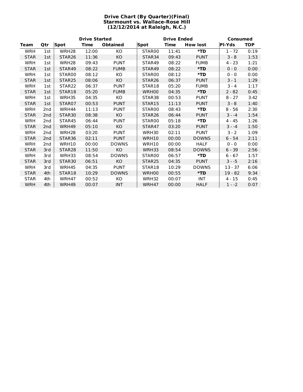#### **Drive Chart (By Quarter)(Final) Starmount vs. Wallace-Rose Hill (12/12/2014 at Raleigh, N.C.)**

|             |                 |                    | <b>Drive Started</b> |                 |                    | <b>Drive Ended</b> |                 | Consumed      |            |  |
|-------------|-----------------|--------------------|----------------------|-----------------|--------------------|--------------------|-----------------|---------------|------------|--|
| <b>Team</b> | Qtr             | <b>Spot</b>        | Time                 | <b>Obtained</b> | <b>Spot</b>        | Time               | <b>How lost</b> | <b>PI-Yds</b> | <b>TOP</b> |  |
| WRH         | 1st             | WRH <sub>28</sub>  | 12:00                | KO              | STAR00             | 11:41              | $*TD$           | $1 - 72$      | 0:19       |  |
| <b>STAR</b> | 1st             | STAR <sub>26</sub> | 11:36                | KO              | STAR <sub>34</sub> | 09:43              | <b>PUNT</b>     | $3 - 8$       | 1:53       |  |
| WRH         | 1st             | WRH <sub>28</sub>  | 09:43                | <b>PUNT</b>     | STAR49             | 08:22              | <b>FUMB</b>     | $4 - 23$      | 1:21       |  |
| <b>STAR</b> | 1st             | STAR49             | 08:22                | <b>FUMB</b>     | STAR49             | 08:22              | $*TD$           | $0 - 0$       | 0:00       |  |
| WRH         | 1st             | STAR00             | 08:12                | KO              | STAR00             | 08:12              | *TD             | $0 - 0$       | 0:00       |  |
| <b>STAR</b> | 1st             | STAR <sub>25</sub> | 08:06                | KO              | STAR <sub>26</sub> | 06:37              | <b>PUNT</b>     | $3 - 1$       | 1:29       |  |
| WRH         | 1st             | STAR <sub>22</sub> | 06:37                | <b>PUNT</b>     | STAR18             | 05:20              | <b>FUMB</b>     | $3 - 4$       | 1:17       |  |
| <b>STAR</b> | 1st             | STAR18             | 05:20                | <b>FUMB</b>     | WRH00              | 04:35              | $*TD$           | $2 - 82$      | 0:45       |  |
| WRH         | 1st             | <b>WRH35</b>       | 04:35                | KO              | STAR38             | 00:53              | <b>PUNT</b>     | $8 - 27$      | 3:42       |  |
| <b>STAR</b> | 1st             | STAR07             | 00:53                | <b>PUNT</b>     | STAR15             | 11:13              | <b>PUNT</b>     | $3 - 8$       | 1:40       |  |
| WRH         | 2 <sub>nd</sub> | WRH44              | 11:13                | <b>PUNT</b>     | STAR00             | 08:43              | $*$ TD          | $8 - 56$      | 2:30       |  |
| <b>STAR</b> | 2 <sub>nd</sub> | STAR <sub>30</sub> | 08:38                | KO              | STAR <sub>26</sub> | 06:44              | <b>PUNT</b>     | $3 - -4$      | 1:54       |  |
| WRH         | 2 <sub>nd</sub> | STAR45             | 06:44                | <b>PUNT</b>     | STAR <sub>00</sub> | 05:18              | $*TD$           | 4 - 45        | 1:26       |  |
| <b>STAR</b> | 2 <sub>nd</sub> | WRH49              | 05:10                | KO              | STAR47             | 03:20              | <b>PUNT</b>     | $3 - -4$      | 1:50       |  |
| WRH         | 2 <sub>nd</sub> | WRH <sub>28</sub>  | 03:20                | <b>PUNT</b>     | WRH30              | 02:11              | <b>PUNT</b>     | $3 - 2$       | 1:09       |  |
| <b>STAR</b> | 2 <sub>nd</sub> | STAR <sub>36</sub> | 02:11                | <b>PUNT</b>     | WRH10              | 00:00              | <b>DOWNS</b>    | $6 - 54$      | 2:11       |  |
| WRH         | 2 <sub>nd</sub> | WRH10              | 00:00                | <b>DOWNS</b>    | WRH10              | 00:00              | <b>HALF</b>     | $0 - 0$       | 0:00       |  |
| <b>STAR</b> | 3rd             | STAR <sub>28</sub> | 11:50                | KO              | WRH33              | 08:54              | <b>DOWNS</b>    | $6 - 39$      | 2:56       |  |
| WRH         | 3rd             | WRH33              | 08:54                | <b>DOWNS</b>    | STAR <sub>00</sub> | 06:57              | *TD             | $6 - 67$      | 1:57       |  |
| <b>STAR</b> | 3rd             | STAR <sub>30</sub> | 06:51                | KO              | STAR <sub>25</sub> | 04:35              | <b>PUNT</b>     | $3 - -5$      | 2:16       |  |
| WRH         | 3rd             | WRH45              | 04:35                | <b>PUNT</b>     | STAR18             | 10:29              | <b>DOWNS</b>    | $13 - 37$     | 6:06       |  |
| <b>STAR</b> | 4th             | STAR18             | 10:29                | <b>DOWNS</b>    | WRH00              | 00:55              | $*TD$           | $19 - 82$     | 9:34       |  |
| <b>STAR</b> | 4th             | WRH47              | 00:52                | KO              | WRH32              | 00:07              | <b>INT</b>      | $4 - 15$      | 0:45       |  |
| WRH         | 4th             | WRH49              | 00:07                | <b>INT</b>      | WRH47              | 00:00              | <b>HALF</b>     | $1 - -2$      | 0:07       |  |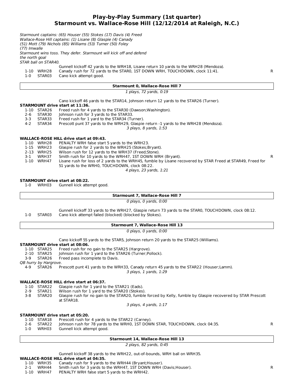#### **Play-by-Play Summary (1st quarter) Starmount vs. Wallace-Rose Hill (12/12/2014 at Raleigh, N.C.)**

Starmount captains: (65) Houser (55) Stokes (17) Davis (4) Freed Wallace-Rose Hill captains: (1) Lisane (8) Glaspie (4) Canady (51) Mott (79) Nichols (85) Williams (53) Turner (50) Foley (77) Imwalle Starmount wins toss. They defer. Starmount will kick off and defend the north goal STAR ball on STAR40. **Starmount 0, Wallace-Rose Hill 7** 1 plays, 72 yards, 0:19 **STARMOUNT drive start at 11:36.** 3 plays, 8 yards, 1:53 **WALLACE-ROSE HILL drive start at 09:43.** 4 plays, 23 yards, 1:21 **STARMOUNT drive start at 08:22. Starmount 7, Wallace-Rose Hill 7** 0 plays, 0 yards, 0:00 **Starmount 7, Wallace-Rose Hill 13** 0 plays, 0 yards, 0:00 **STARMOUNT drive start at 08:06.** QB hurry by Hargrove. 3 plays, 1 yards, 1:29 **WALLACE-ROSE HILL drive start at 06:37.** 3 plays, 4 yards, 1:17 **STARMOUNT drive start at 05:20. Starmount 14, Wallace-Rose Hill 13** 2 plays, 82 yards, 0:45 **WALLACE-ROSE HILL drive start at 04:35.** Gunnell kickoff 42 yards to the WRH18, Lisane return 10 yards to the WRH28 (Mendoza). 1-10 WRH28 Canady rush for 72 yards to the STAR0, 1ST DOWN WRH, TOUCHDOWN, clock 11:41.<br>1-0 STAR03 Cano kick attempt good. 1-0 STAR03 Cano kick attempt good. Cano kickoff 46 yards to the STAR14, Johnson return 12 yards to the STAR26 (Turner). 1-10 STAR26 Freed rush for 4 yards to the STAR30 (Dawson; Washington).<br>2-6 STAR30 Lohnson rush for 3 yards to the STAR33 2-6 STAR30 Johnson rush for 3 yards to the STAR33.<br>3-3 STAR33 Freed rush for 1 yard to the STAR34 (Tu Freed rush for 1 yard to the STAR34 (Turner). 4-2 STAR34 Prescott punt 37 yards to the WRH29, Glaspie return -1 yards to the WRH28 (Mendoza). 1-10 WRH28 PENALTY WRH false start 5 yards to the WRH23.<br>1-15 WRH23 Glaspie rush for 2 yards to the WRH25 (Stokes; 1-15 WRH23 Glaspie rush for 2 yards to the WRH25 (Stokes;Bryant). Wilson rush for 12 yards to the WRH37 (Freed;Stone). 3-1 WRH37 Smith rush for 10 yards to the WRH47, 1ST DOWN WRH (Bryant).<br>1-10 WRH47 Lisane rush for loss of 2 vards to the WRH45. fumble by Lisane recovered by STAR Freed at STAR49. Freed for Lisane rush for loss of 2 yards to the WRH45, fumble by Lisane recovered by STAR Freed at STAR49, Freed for 51 yards to the WRH0, TOUCHDOWN, clock 08:22. 1-0 WRH03 Gunnell kick attempt good. Gunnell kickoff 33 yards to the WRH27, Glaspie return 73 yards to the STAR0, TOUCHDOWN, clock 08:12. 1-0 STAR03 Cano kick attempt failed (blocked) (blocked by Stokes). Cano kickoff 55 yards to the STAR5, Johnson return 20 yards to the STAR25 (Williams). 1-10 STAR25 Freed rush for no gain to the STAR25 (Hargrove). 2-10 STAR25 Johnson rush for 1 yard to the STAR26 (Turner;Pollock).<br>3-9 STAR26 Freed pass incomplete to Davis. 3-9 STAR26 Freed pass incomplete to Davis. 4-9 STAR26 Prescott punt 41 yards to the WRH33, Canady return 45 yards to the STAR22 (Houser;Lamm). 1-10 STAR22 Glaspie rush for 1 yard to the STAR21 (Eads).<br>2-9 STAR21 Wilson rush for 1 yard to the STAR20 (Stokes) 2-9 STAR21 Wilson rush for 1 yard to the STAR20 (Stokes). Glaspie rush for no gain to the STAR20, fumble forced by Kelly, fumble by Glaspie recovered by STAR Prescott at STAR18. 1-10 STAR18 Prescott rush for 4 yards to the STAR22 (Carney). 2-6 STAR22 Johnson rush for 78 yards to the WRH0, 1ST DOWN STAR, TOUCHDOWN, clock 04:35.<br>1-0 WRH03 Gunnell kick attempt good 1-0 WRH03 Gunnell kick attempt good. Gunnell kickoff 38 yards to the WRH22, out-of-bounds, WRH ball on WRH35. 1-10 WRH35 Canady rush for 9 yards to the WRH44 (Bryant;Houser). 2-1 WRH44 Smith rush for 3 yards to the WRH47, 1ST DOWN WRH (Davis; Houser).

1-10 WRH47 PENALTY WRH false start 5 yards to the WRH42.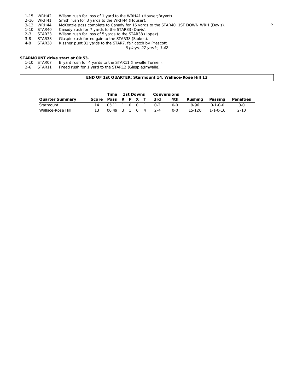- 1-15 WRH42 Wilson rush for loss of 1 yard to the WRH41 (Houser;Bryant).
- 2-16 WRH41 Smith rush for 3 yards to the WRH44 (Houser).<br>2-13 WRH44 McKenzie pass complete to Canady for 16 yard
- 3-13 WRH44 McKenzie pass complete to Canady for 16 yards to the STAR40, 1ST DOWN WRH (Davis).<br>1-10 STAR40 Canady rush for 7 yards to the STAR33 (Davis).
- 1-10 STAR40 Canady rush for 7 yards to the STAR33 (Davis).<br>2-3 STAR33 Wilson rush for loss of 5 yards to the STAR38 (L
- Wilson rush for loss of 5 yards to the STAR38 (Lopez).
- 3-8 STAR38 Glaspie rush for no gain to the STAR38 (Stokes).<br>4-8 STAR38 Kissner punt 31 yards to the STAR7, fair catch by
	- Kissner punt 31 yards to the STAR7, fair catch by Prescott.

8 plays, 27 yards, 3:42

## **STARMOUNT drive start at 00:53.**

- 1-10 STAR07 Bryant rush for 4 yards to the STAR11 (Imwalle;Turner).<br>2-6 STAR11 Freed rush for 1 yard to the STAR12 (Glaspie;Imwalle).
- Freed rush for 1 yard to the STAR12 (Glaspie;Imwalle).

#### **END OF 1st QUARTER: Starmount 14, Wallace-Rose Hill 13**

|                        |                    |                      | Time 1st Downs |  | Conversions |     |            |         |                 |           |
|------------------------|--------------------|----------------------|----------------|--|-------------|-----|------------|---------|-----------------|-----------|
| <b>Quarter Summary</b> | Score Poss R P X T |                      |                |  |             | 3rd | 4th        | Rushina | Passing         | Penalties |
| Starmount              |                    | 05:11 1 0 0 1 0-2    |                |  |             |     | <u>ດ-ດ</u> | 9-96    | $0 - 1 - 0 - 0$ | $0 - 0$   |
| Wallace-Rose Hill      |                    | $06:49$ 3 1 0 4 2 -4 |                |  |             |     | ი-ი        | 15-120  | 1-1-0-16        | $2 - 10$  |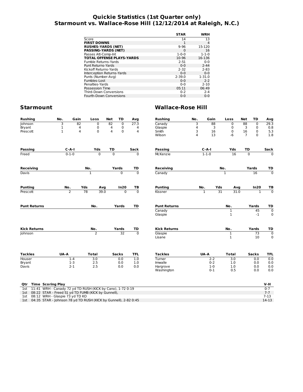#### **Quickie Statistics (1st Quarter only) Starmount vs. Wallace-Rose Hill (12/12/2014 at Raleigh, N.C.)**

|                                  | <b>STAR</b> | WRH         |
|----------------------------------|-------------|-------------|
| Score                            | 14          | 13          |
| <b>FIRST DOWNS</b>               | 1           | 4           |
| <b>RUSHES-YARDS (NET)</b>        | $9 - 96$    | 15-120      |
| <b>PASSING-YARDS (NET)</b>       | $\Omega$    | 16          |
| Passes Att-Comp-Int              | $1 - 0 - 0$ | $1 - 1 - 0$ |
| <b>TOTAL OFFENSE PLAYS-YARDS</b> | 10-96       | 16-136      |
| Fumble Returns-Yards             | $2 - 51$    | $0 - 0$     |
| Punt Returns-Yards               | $0 - 0$     | $2 - 44$    |
| Kickoff Returns-Yards            | $2 - 32$    | $2 - 83$    |
| Interception Returns-Yards       | $0 - 0$     | $0 - 0$     |
| Punts (Number-Avg)               | $2 - 39.0$  | $1 - 31.0$  |
| Fumbles-Lost                     | $0 - 0$     | $2 - 2$     |
| Penalties-Yards                  | $0 - 0$     | $2 - 10$    |
| Possession Time                  | 05:11       | 06:49       |
| <b>Third-Down Conversions</b>    | $0 - 2$     | $2 - 4$     |
| Fourth-Down Conversions          | $0 - 0$     | $0 - 0$     |
|                                  |             |             |

## **Starmount Wallace-Rose Hill**

| <b>Rushing</b>                                                        | No.          | Gain           |              | Loss             | <b>Net</b>     | TD              | Avg            | <b>Rushing</b>         | No.                     | Gain             |                 | Loss                         | <b>Net</b>      | TD                    | Avg                           |
|-----------------------------------------------------------------------|--------------|----------------|--------------|------------------|----------------|-----------------|----------------|------------------------|-------------------------|------------------|-----------------|------------------------------|-----------------|-----------------------|-------------------------------|
| Johnson                                                               | 3            | 82             |              | $\mathbf 0$      | 82             | $\overline{0}$  | 27.3           | Canady                 | 3                       | 88               |                 | 0                            | $\overline{88}$ | 0                     | 29.3                          |
| Bryant                                                                | 1            | 4              |              | 0                | 4              | 0               | 4              | Glaspie                | 4                       |                  | 3               | $\mathbf 0$                  | 3               | 0                     | 0.8                           |
| Prescott                                                              | $\mathbf{1}$ | 4              |              | 0                | 4              | $\mathbf 0$     | 4              | Smith                  | 3                       | 16               |                 | 0                            | 16              | 0                     | 5.3                           |
|                                                                       |              |                |              |                  |                |                 |                | Wilson                 | $\overline{\mathbf{4}}$ | 13               |                 | $-6$                         | $\overline{7}$  | $\Omega$              | 1.8                           |
| <b>Passing</b>                                                        |              | $C - A - I$    |              | Yds              | TD             |                 | Sack           | Passing                |                         | $C-A-I$          |                 | Yds                          | <b>TD</b>       |                       | Sack                          |
| Freed                                                                 |              | $0 - 1 - 0$    |              | $\overline{0}$   | $\overline{0}$ |                 | $\overline{0}$ | <b>McKenzie</b>        |                         | $1 - 1 - 0$      |                 | 16                           | $\overline{0}$  |                       | $\overline{0}$                |
| <b>Receiving</b>                                                      |              | No.            |              |                  | Yards          | TD              | Receiving      |                        |                         |                  | No.             |                              | Yards           |                       |                               |
| Davis                                                                 |              |                | 1            |                  |                | 0               | $\Omega$       | Canady                 |                         |                  |                 | 1                            |                 | 16                    | TD<br>$\mathbf 0$             |
| <b>Punting</b>                                                        |              | No.            | Yds          |                  |                | In20            | TB             | <b>Punting</b>         |                         | No.              | Yds             |                              |                 | In20                  | ТB                            |
| Prescott                                                              |              | $\overline{2}$ | 78           | Avg<br>39.0      |                | $\overline{0}$  | $\overline{0}$ | Kissner                |                         | $\mathbf{1}$     | $\overline{31}$ | Avg<br>31.0                  |                 | $\mathbf{1}$          | $\overline{0}$                |
|                                                                       |              |                |              |                  |                |                 |                |                        |                         |                  |                 |                              |                 |                       |                               |
| <b>Punt Returns</b>                                                   |              |                |              | No.              |                | Yards           | TD             | <b>Punt Returns</b>    |                         |                  |                 | No.                          |                 | Yards                 | TD                            |
|                                                                       |              |                |              |                  |                |                 |                | Canady<br>Glaspie      |                         |                  |                 | $\mathbf{1}$<br>$\mathbf{1}$ |                 | 45<br>$-1$            | $\overline{0}$<br>$\mathbf 0$ |
| <b>Kick Returns</b>                                                   |              |                | No.          |                  |                | Yards           | TD             | <b>Kick Returns</b>    |                         |                  |                 | No.                          |                 | Yards                 | TD                            |
| Johnson                                                               |              |                |              | $\overline{2}$   |                | $\overline{32}$ | $\overline{0}$ | Glaspie<br>Lisane      |                         |                  |                 | $\overline{1}$<br>1          |                 | $\overline{73}$<br>10 | $\overline{0}$<br>0           |
| <b>Tackles</b>                                                        | UA-A         |                | <b>Total</b> |                  |                | <b>Sacks</b>    | <b>TFL</b>     | <b>Tackles</b>         |                         | UA-A             |                 | <b>Total</b>                 |                 | <b>Sacks</b>          | <b>TFL</b>                    |
| Houser                                                                |              | $1 - 4$        |              | $\overline{3.0}$ |                | 0.0             | 1.0            | Turner                 |                         | $2 - 2$          |                 | $\overline{3.0}$             |                 | 0.0                   | 0.0                           |
| Bryant                                                                |              | $1-3$          |              | 2.5              |                | 0.0             | 1.0            | Imwalle                |                         | $0 - 2$          |                 | 1.0                          |                 | 0.0                   | 0.0                           |
| Davis                                                                 |              | $2 - 1$        |              | 2.5              |                | 0.0             | 0.0            | Hargrove<br>Washington |                         | $1-0$<br>$0 - 1$ |                 | 1.0<br>0.5                   |                 | 0.0<br>0.0            | 0.0<br>0.0                    |
| <b>Time Scoring Play</b><br>Qtr                                       |              |                |              |                  |                |                 |                |                        |                         |                  |                 |                              |                 |                       | V-H                           |
| 11:41 WRH - Canady 72 yd TD RUSH (KICK by Cano), 1-72 0:19<br>1st     |              |                |              |                  |                |                 |                |                        |                         |                  |                 |                              |                 |                       | $0 - 7$                       |
| 1st 08:22 STAR - Freed 51 yd TD FUMB (KICK by Gunnell),               |              |                |              |                  |                |                 |                |                        |                         |                  |                 |                              |                 |                       | $7 - 7$                       |
| $0.12$ WBU Classic $72$ $\overline{10}$ $\overline{10}$ KO<br>$7 - 4$ |              |                |              |                  |                |                 |                |                        |                         |                  |                 |                              |                 |                       | 7.12                          |

1st 08:12 WRH - Glaspie 73 yd TD KO<br>1st 04:35 STAR - Johnson 78 yd TD RUSH (KICK by Gunnell), 2-82 0:45 14-13 14-13 14-13 14-13 14-13 14-13 14-13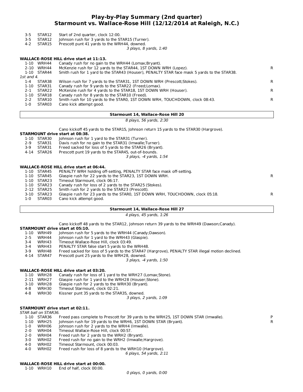#### **Play-by-Play Summary (2nd quarter) Starmount vs. Wallace-Rose Hill (12/12/2014 at Raleigh, N.C.)**

- 3-5 STAR12 Start of 2nd quarter, clock 12:00.
- 3-5 STAR12 Johnson rush for 3 yards to the STAR15 (Turner).
- 4-2 STAR15 Prescott punt 41 yards to the WRH44, downed.

3 plays, 8 yards, 1:40

#### **WALLACE-ROSE HILL drive start at 11:13.**

| 1-10       | WRH44       | Canady rush for no gain to the WRH44 (Lomax; Bryant).                                       |    |
|------------|-------------|---------------------------------------------------------------------------------------------|----|
|            | 2-10 WRH44  | McKenzie rush for 12 yards to the STAR44, 1ST DOWN WRH (Lopez).                             | R  |
|            | 1-10 STAR44 | Smith rush for 1 yard to the STAR43 (Houser), PENALTY STAR face mask 5 yards to the STAR38. |    |
| 1st and 4. |             |                                                                                             |    |
| $1 - 4$    | STAR38      | Wilson rush for 7 yards to the STAR31, 1ST DOWN WRH (Prescott; Stokes).                     | R. |
| 1-10       | STAR31      | Canady rush for 9 yards to the STAR22 (Freed; Lomax).                                       |    |
| $2 - 1$    | STAR22      | McKenzie rush for 4 yards to the STAR18, 1ST DOWN WRH (Houser).                             | R. |
| 1-10       | STAR18      | Canady rush for 8 yards to the STAR10 (Freed).                                              |    |
| $2 - 2$    | STAR10      | Smith rush for 10 yards to the STAR0, 1ST DOWN WRH, TOUCHDOWN, clock 08:43.                 | R. |
| 1-0        | STAR03      | Cano kick attempt good.                                                                     |    |
|            |             |                                                                                             |    |

#### **Starmount 14, Wallace-Rose Hill 20**

8 plays, 56 yards, 2:30

Cano kickoff 45 yards to the STAR15, Johnson return 15 yards to the STAR30 (Hargrove).

#### **STARMOUNT drive start at 08:38.**

- 1-10 STAR30 Johnson rush for 1 yard to the STAR31 (Turner).
- 
- 2-9 STAR31 Davis rush for no gain to the STAR31 (Imwalle; Turner).<br>3-9 STAR31 Freed sacked for loss of 5 yards to the STAR26 (Bryant
- 3-9 STAR31 Freed sacked for loss of 5 yards to the STAR26 (Bryant).<br>4-14 STAR26 Prescott punt 19 vards to the STAR45, out-of-bounds. Prescott punt 19 yards to the STAR45, out-of-bounds.
	-

3 plays, -4 yards, 1:54

#### **WALLACE-ROSE HILL drive start at 06:44.**

|         | 1-10 STAR45 | PENALTY WRH holding off-setting, PENALTY STAR face mask off-setting.          |    |
|---------|-------------|-------------------------------------------------------------------------------|----|
|         | 1-10 STAR45 | Glaspie rush for 22 yards to the STAR23, 1ST DOWN WRH.                        | R  |
|         | 1-10 STAR23 | Timeout Starmount, clock 06:17.                                               |    |
|         | 1-10 STAR23 | Canady rush for loss of 2 yards to the STAR25 (Stokes).                       |    |
|         | 2-12 STAR25 | Smith rush for 2 yards to the STAR23 (Prescott).                              |    |
|         | 3-10 STAR23 | Glaspie rush for 23 yards to the STAR0, 1ST DOWN WRH, TOUCHDOWN, clock 05:18. | R. |
| $1 - 0$ | STAR03      | Cano kick attempt good.                                                       |    |
|         |             |                                                                               |    |

#### **Starmount 14, Wallace-Rose Hill 27**

4 plays, 45 yards, 1:26

Cano kickoff 48 yards to the STAR12, Johnson return 39 yards to the WRH49 (Dawson;Canady).

## **STARMOUNT drive start at 05:10.**

- Johnson rush for 5 yards to the WRH44 (Canady;Dawson).
- 2-5 WRH44 Johnson rush for 1 yard to the WRH43 (Glaspie).<br>3-4 WRH43 Timeout Wallace-Rose Hill. clock 03:49.
- 3-4 WRH43 Timeout Wallace-Rose Hill, clock 03:49.
- 
- 3-4 WRH43 PENALTY STAR false start 5 yards to the WRH48.<br>3-9 WRH48 Freed sacked for loss of 5 yards to the STAR47 (I 3-9 WRH48 Freed sacked for loss of 5 yards to the STAR47 (Hargrove), PENALTY STAR illegal motion declined.<br>4-14 STAR47 Prescott punt 25 yards to the WRH28, downed.
- Prescott punt 25 yards to the WRH28, downed.
	- 3 plays, -4 yards, 1:50

#### **WALLACE-ROSE HILL drive start at 03:20.**

- 1-10 WRH28 Canady rush for loss of 1 yard to the WRH27 (Lomax;Stone).
- 2-11 WRH27 Glaspie rush for 1 yard to the WRH28 (Houser;Stone).<br>3-10 WRH28 Glaspie rush for 2 yards to the WRH30 (Bryant).
- 3-10 WRH28 Glaspie rush for 2 yards to the WRH30 (Bryant).<br>4-8 WRH30 Timeout Starmount, clock 02:21.
- Timeout Starmount, clock 02:21.
- 4-8 WRH30 Kissner punt 35 yards to the STAR35, downed.

3 plays, 2 yards, 1:09

#### **STARMOUNT drive start at 02:11.**

#### STAR ball on STAR36.

- 1-10 STAR36 Freed pass complete to Prescott for 39 yards to the WRH25, 1ST DOWN STAR (Imwalle). P<br>1-10 WRH25 Johnson rush for 19 yards to the WRH6, 1ST DOWN STAR (Bryant).
- Johnson rush for 19 yards to the WRH6, 1ST DOWN STAR (Bryant).
- 1-0 WRH06 Johnson rush for 2 yards to the WRH4 (Imwalle).
- 2-0 WRH04 Timeout Wallace-Rose Hill, clock 00:57.
- 
- 2-0 WRH04 Freed rush for 2 yards to the WRH2 (Bryant). WRH02 Freed rush for no gain to the WRH2 (Imwalle;Hargrove).<br>WRH02 Timeout Starmount. clock 00:03.
- 4-0 WRH02 Timeout Starmount, clock 00:03.
- 4-0 WRH02 Freed rush for loss of 8 yards to the WRH10 (Hargrove).
	- 6 plays, 54 yards, 2:11

#### **WALLACE-ROSE HILL drive start at 00:00.**

1-10 WRH10 End of half, clock 00:00.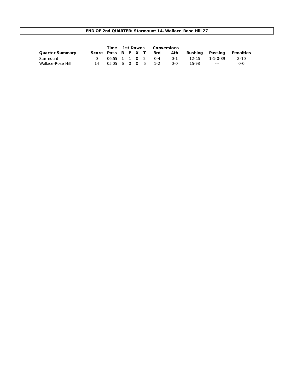#### **END OF 2nd QUARTER: Starmount 14, Wallace-Rose Hill 27**

|                        |                    |                   | Time 1st Downs |  | Conversions |                   |            |         |          |           |
|------------------------|--------------------|-------------------|----------------|--|-------------|-------------------|------------|---------|----------|-----------|
| <b>Quarter Summary</b> | Score Poss R P X T |                   |                |  |             | 3rd               | 4th        | Rushina | Passing  | Penalties |
| Starmount              |                    |                   |                |  |             | 06:55 1 1 0 2 0-4 | $0 - 1$    | 12-15   | 1-1-0-39 | 2-10      |
| Wallace-Rose Hill      |                    | 05:05 6 0 0 6 1-2 |                |  |             |                   | <u>ດ-ດ</u> | 15-98   | $---$    | $0 - 0$   |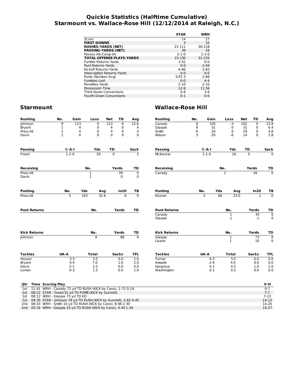#### **Quickie Statistics (Halftime Cumulative) Starmount vs. Wallace-Rose Hill (12/12/2014 at Raleigh, N.C.)**

|                                  | <b>STAR</b> | WRH         |
|----------------------------------|-------------|-------------|
|                                  |             | 27          |
| Score                            | 14          |             |
| <b>FIRST DOWNS</b>               | 3           | 10          |
| <b>RUSHES-YARDS (NET)</b>        | 21-111      | 30-218      |
| <b>PASSING-YARDS (NET)</b>       | 39          | 16          |
| Passes Att-Comp-Int              | $2 - 1 - 0$ | $1 - 1 - 0$ |
| <b>TOTAL OFFENSE PLAYS-YARDS</b> | 23-150      | 31-234      |
| Fumble Returns-Yards             | $2 - 51$    | $0 - 0$     |
| Punt Returns-Yards               | $0 - 0$     | $2 - 44$    |
| Kickoff Returns-Yards            | 4-86        | $2 - 83$    |
| Interception Returns-Yards       | $0 - 0$     | $0 - 0$     |
| Punts (Number-Avg)               | $5-67.3$    | $2 - 66$    |
| Fumbles-Lost                     | $0 - 0$     | $4 - 4$     |
| Penalties-Yards                  | $2 - 10$    | $2 - 10$    |
| Possession Time                  | 12:6        | 11:54       |
| <b>Third-Down Conversions</b>    | $0 - 6$     | $3-6$       |
| Fourth-Down Conversions          | $0 - 1$     | $0 - 0$     |

| <b>Rushing</b>                                                    | No.          | Gain           | Loss                        |             | <b>Net</b>     | TD             | Avg                       | <b>Rushing</b>      | No. | Gain           |     | Loss                        | <b>Net</b>  | TD             | Avg                            |
|-------------------------------------------------------------------|--------------|----------------|-----------------------------|-------------|----------------|----------------|---------------------------|---------------------|-----|----------------|-----|-----------------------------|-------------|----------------|--------------------------------|
| Johnson                                                           | 9            | 113            |                             | $\mathbf 0$ | 113            | $\mathbf 0$    | 12.6                      | Canady              | 8   | 105            |     | $-3$                        | 102         | $\mathbf 0$    | 12.8                           |
| Bryant                                                            | $\mathbf{1}$ | 4              |                             | 0           | 4              | 0              | 4                         | Glaspie             | 8   |                | 51  | 0                           | 51          | 0              | 6.4                            |
| Prescott                                                          | $\mathbf{1}$ | 4              |                             | $\mathbf 0$ | 4              | 0              | 4                         | Smith               | 6   |                | 29  | $\mathbf 0$                 | 29          | 0              | 4.8                            |
| Davis                                                             | $\mathbf{1}$ | $\mathbf 0$    |                             | $\Omega$    | $\Omega$       | $\mathbf 0$    | $\mathbf 0$               | Wilson              | 5   |                | 20  | $-6$                        | 14          | $\Omega$       | 2.8                            |
| <b>Passing</b>                                                    |              | $C-A-I$        |                             | Yds         | TD             |                | Sack                      | <b>Passing</b>      |     | $C-A-I$        |     | Yds                         | TD          |                | Sack                           |
| Freed                                                             |              | $1 - 2 - 0$    |                             | 29          | $\overline{0}$ |                | $\overline{2}$            | <b>McKenzie</b>     |     | $1 - 1 - 0$    |     | 16                          | $\mathbf 0$ |                | $\mathbf 0$                    |
|                                                                   |              |                |                             |             |                |                |                           |                     |     |                |     |                             |             |                |                                |
| <b>Receiving</b>                                                  |              |                | No.                         |             |                | Yards          | TD                        | <b>Receiving</b>    |     |                | No. |                             |             | Yards          | TD                             |
| Prescott<br>Davis                                                 |              |                | $\mathbf{1}$<br>$\mathbf 1$ |             |                | 39<br>0        | $\overline{0}$<br>0       | Canady              |     |                |     | $\mathbf 1$                 |             | 16             | $\overline{\mathfrak{o}}$      |
| <b>Punting</b>                                                    |              | No.            | Yds                         | Avg         |                | In20           | TB                        | <b>Punting</b>      |     | No.            | Yds | Avg                         |             | In20           | TB                             |
| Prescott                                                          |              | $\overline{5}$ | 163                         | 32.6        |                | $\overline{0}$ | $\overline{\mathfrak{o}}$ | Kissner             |     | $\overline{2}$ | 66  | 33.0                        |             | $\overline{1}$ | $\overline{\mathfrak{o}}$      |
| <b>Punt Returns</b>                                               |              |                | No.                         |             |                | Yards          | TD                        | <b>Punt Returns</b> |     |                |     | No.                         |             | Yards          | TD                             |
|                                                                   |              |                |                             |             |                |                |                           | Canady              |     |                |     | 1                           |             | 45             | $\overline{0}$                 |
|                                                                   |              |                |                             |             |                |                |                           | Glaspie             |     |                |     | $\mathbf{1}$                |             | $-1$           | $\mathbf 0$                    |
| <b>Kick Returns</b>                                               |              |                | No.                         |             |                | Yards          | TD                        | <b>Kick Returns</b> |     |                |     | No.                         |             | Yards          | TD                             |
| Johnson                                                           |              |                |                             | 4           |                | 86             | $\overline{\mathfrak{o}}$ | Glaspie<br>Lisane   |     |                |     | $\mathbf 1$<br>$\mathbf{1}$ |             | 73<br>10       | $\overline{\mathfrak{o}}$<br>0 |
| <b>Tackles</b>                                                    | UA-A         |                | <b>Total</b>                |             |                | <b>Sacks</b>   | <b>TFL</b>                | <b>Tackles</b>      |     | UA-A           |     | <b>Total</b>                |             | <b>Sacks</b>   | <b>TFL</b>                     |
| Houser                                                            |              | $3 - 5$        |                             | 5.5         |                | 0.0            | 1.0                       | Turner              |     | $4 - 3$        |     | 5.5                         |             | 0.0            | 0.0                            |
| Bryant                                                            |              | $5 - 4$        |                             | 7.0         |                | 1.0            | 2.0                       | Imwalle             |     | $2 - 4$        |     | 4.0                         |             | 0.0            | 0.0                            |
| Davis                                                             |              | $2 - 1$        |                             | 2.5         |                | 0.0            | 0.0                       | Hargrove            |     | $4 - 1$        |     | 4.5                         |             | 1.0            | 2.0                            |
| Lomax                                                             |              | $0 - 3$        |                             | 1.5         |                | 0.0            | 1.0                       | Washington          |     | $0 - 1$        |     | 0.5                         |             | 0.0            | 0.0                            |
| <b>Time Scoring Play</b><br>Qtr                                   |              |                |                             |             |                |                |                           |                     |     |                |     |                             |             |                | V-H                            |
| 11:41 WRH - Canady 72 yd TD RUSH (KICK by Cano), 1-72 0:19<br>1st |              |                |                             |             |                |                |                           |                     |     |                |     |                             |             |                | $0 - 7$                        |

| IST II:41 WRH - Canady 72 yd ID RUSH (KICK by Cano), 1-72 0:19      |         |
|---------------------------------------------------------------------|---------|
| 1st 08:22 STAR - Freed 51 yd TD FUMB (KICK by Gunnell),             | $7 - 7$ |
| 1st 08:12 WRH - Glaspie 73 yd TD KO                                 | 7-13    |
| 1st 04:35 STAR - Johnson 78 yd TD RUSH (KICK by Gunnell), 2-82 0:45 | $14-13$ |
| 2nd 08:43 WRH - Smith 10 yd TD RUSH (KICK by Cano), 8-56 2:30       | 14-20   |
| 2nd 05:18 WRH - Glaspie 23 yd TD RUSH (KICK by Cano), 4-45 1:26     | $14-27$ |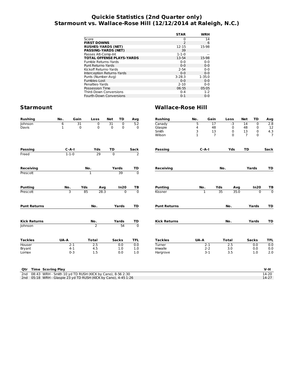#### **Quickie Statistics (2nd Quarter only) Starmount vs. Wallace-Rose Hill (12/12/2014 at Raleigh, N.C.)**

|                                  | <b>STAR</b>              | WRH        |
|----------------------------------|--------------------------|------------|
| Score                            | 0                        | 14         |
| <b>FIRST DOWNS</b>               | $\overline{\phantom{0}}$ | 6          |
| <b>RUSHES-YARDS (NET)</b>        | 12-15                    | 15-98      |
| <b>PASSING-YARDS (NET)</b>       | 39                       |            |
| Passes Att-Comp-Int              | $1 - 1 - 0$              |            |
| <b>TOTAL OFFENSE PLAYS-YARDS</b> | 13-54                    | 15-98      |
| Fumble Returns-Yards             | $0 - 0$                  | $0 - 0$    |
| Punt Returns-Yards               | $0 - 0$                  | $0 - 0$    |
| Kickoff Returns-Yards            | $2 - 54$                 | $0 - 0$    |
| Interception Returns-Yards       | $0 - 0$                  | $0 - 0$    |
| Punts (Number-Avg)               | $3 - 28.3$               | $1 - 35.0$ |
| Fumbles-Lost                     | $0 - 0$                  | $0 - 0$    |
| Penalties-Yards                  | $2 - 10$                 | $0 - 0$    |
| Possession Time                  | 06:55                    | 05:05      |
| <b>Third-Down Conversions</b>    | $0 - 4$                  | $1 - 2$    |
| <b>Fourth-Down Conversions</b>   | $0 - 1$                  | $0 - 0$    |
|                                  |                          |            |

| <b>Rushing</b>      | No.         | Gain<br>Loss     | <b>Net</b><br>TD           | Avg                  | <b>Rushing</b>      | No.          | Gain           | Loss         | Net            | <b>TD</b>   | Avg              |
|---------------------|-------------|------------------|----------------------------|----------------------|---------------------|--------------|----------------|--------------|----------------|-------------|------------------|
| Johnson             | 6           | 31<br>0          | 31<br>$\overline{0}$       | 5.2                  | Canady              | 5            | 17             | $-3$         | 14             | $\mathbf 0$ | 2.8              |
| Davis               | 1           | $\mathbf 0$<br>0 | $\mathbf 0$<br>$\mathbf 0$ | $\mathbf 0$          | Glaspie             | 4            | 48             | 0            | 48             | 0           | $\frac{12}{4.3}$ |
|                     |             |                  |                            |                      | Smith               | 3            | 13             | 0            | 13             | 0           |                  |
|                     |             |                  |                            |                      | Wilson              | $\mathbf{1}$ | $\overline{7}$ | $\mathbf 0$  | $\overline{7}$ | $\Omega$    | $\overline{7}$   |
| <b>Passing</b>      | $C-A-I$     | Yds              | TD                         | Sack                 | <b>Passing</b>      | $C-A-I$      |                | Yds          | TD             |             | Sack             |
| Freed               | $1 - 1 - 0$ | 29               | $\overline{0}$             | $\overline{2}$       |                     |              |                |              |                |             |                  |
|                     |             |                  |                            |                      |                     |              |                |              |                |             |                  |
| <b>Receiving</b>    |             | No.              | Yards                      | TD<br>$\overline{0}$ | <b>Receiving</b>    |              | No.            |              | Yards          |             | TD               |
| Prescott            |             | $\mathbf{1}$     | $\overline{39}$            |                      |                     |              |                |              |                |             |                  |
| <b>Punting</b>      | No.         | Yds<br>Avg       | In20                       | TB                   | <b>Punting</b>      | No.          | Yds            | Avg          |                | In20        | TВ               |
| Prescott            | З           | 85<br>28.3       | $\mathbf{0}$               | $\overline{0}$       | Kissner             | $\mathbf{1}$ | 35             | 35.0         |                | $\mathbf 0$ | $\overline{0}$   |
| <b>Punt Returns</b> |             | No.              | Yards                      | TD                   | <b>Punt Returns</b> |              |                | No.          |                | Yards       | TD               |
| <b>Kick Returns</b> |             | No.              | Yards                      | TD                   | <b>Kick Returns</b> |              |                | No.          |                | Yards       | TD               |
| Johnson             |             | $\overline{2}$   | 54                         | $\overline{0}$       |                     |              |                |              |                |             |                  |
| <b>Tackles</b>      | UA-A        | <b>Total</b>     | <b>Sacks</b>               | <b>TFL</b>           | <b>Tackles</b>      | UA-A         |                | <b>Total</b> | <b>Sacks</b>   |             | <b>TFL</b>       |
| Houser              | $2 - 1$     | 2.5              | 0.0                        | 0.0                  | Turner              |              | $2-1$          | 2.5          |                | 0.0         | 0.0              |
| Bryant              | $4 - 1$     | 4.5              | 1.0                        | 1.0                  | Imwalle             |              | $2 - 2$        | 3.0          |                | 0.0         | 0.0              |
| Lomax               | $0 - 3$     | 1.5              | 0.0                        | 1.0                  | Hargrove            |              | $3 - 1$        | 3.5          |                | 1.0         | 2.0              |

| <b>Qtr</b> Time Scoring Play                                    | $V-H$ |
|-----------------------------------------------------------------|-------|
| 2nd $08:43$ WRH - Smith 10 yd TD RUSH (KICK by Cano), 8-56 2:30 | 14-20 |
| 2nd 05:18 WRH - Glaspie 23 yd TD RUSH (KICK by Cano), 4-45 1:26 | 14-27 |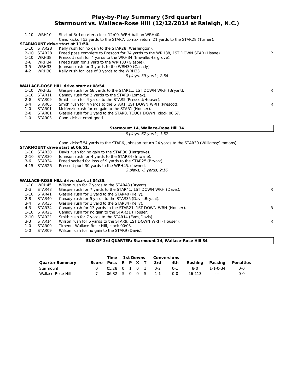#### **Play-by-Play Summary (3rd quarter) Starmount vs. Wallace-Rose Hill (12/12/2014 at Raleigh, N.C.)**

|          | 1-10 WRH10 | Start of 3rd quarter, clock 12:00, WRH ball on WRH40.<br>Cano kickoff 53 yards to the STAR7, Lomax return 21 yards to the STAR28 (Turner). |    |
|----------|------------|--------------------------------------------------------------------------------------------------------------------------------------------|----|
|          |            | <b>STARMOUNT drive start at 11:50.</b>                                                                                                     |    |
| 1-10     | STAR28     | Kelly rush for no gain to the STAR28 (Washington).                                                                                         |    |
| $2 - 10$ | STAR28     | Freed pass complete to Prescott for 34 yards to the WRH38, 1ST DOWN STAR (Lisane).                                                         |    |
| 1-10     | WRH38      | Prescott rush for 4 yards to the WRH34 (Imwalle; Hargrove).                                                                                |    |
| $2 - 6$  | WRH34      | Freed rush for 1 yard to the WRH33 (Glaspie).                                                                                              |    |
| $3 - 5$  | WRH33      | Johnson rush for 3 yards to the WRH30 (Canady).                                                                                            |    |
| $4 - 2$  | WRH30      | Kelly rush for loss of 3 yards to the WRH33.                                                                                               |    |
|          |            | 6 plays, 39 yards, 2:56                                                                                                                    |    |
|          |            |                                                                                                                                            |    |
|          |            | <b>WALLACE-ROSE HILL drive start at 08:54.</b>                                                                                             |    |
| 1-10     | WRH33      | Glaspie rush for 56 yards to the STAR11, 1ST DOWN WRH (Bryant).                                                                            | R. |
| 1-10     | STAR11     | Canady rush for 2 yards to the STAR9 (Lomax).                                                                                              |    |
| $2 - 8$  | STAR09     | Smith rush for 4 yards to the STAR5 (Prescott; Houser).                                                                                    |    |
| $3 - 4$  | STAR05     | Smith rush for 4 yards to the STAR1, 1ST DOWN WRH (Prescott).                                                                              | R. |
| $1-0$    | STAR01     | McKenzie rush for no gain to the STAR1 (Houser).                                                                                           |    |
| $2 - 0$  | STAR01     | Glaspie rush for 1 yard to the STARO, TOUCHDOWN, clock 06:57.                                                                              |    |
| 1-0      | STAR03     | Cano kick attempt good.                                                                                                                    |    |
|          |            |                                                                                                                                            |    |

#### **Starmount 14, Wallace-Rose Hill 34**

6 plays, 67 yards, 1:57

Cano kickoff 54 yards to the STAR6, Johnson return 24 yards to the STAR30 (Williams;Simmons).

#### **STARMOUNT drive start at 06:51.**

| 1-10 STAR30 | Davis rush for no gain to the STAR30 (Hargrove). |
|-------------|--------------------------------------------------|
|             |                                                  |

- 2-10 STAR30 Johnson rush for 4 yards to the STAR34 (Imwalle).<br>3-6 STAR34 Freed sacked for loss of 9 yards to the STAR25 (B
- 3-6 STAR34 Freed sacked for loss of 9 yards to the STAR25 (Bryant).<br>4-15 STAR25 Prescott punt 30 yards to the WRH45, downed.
- Prescott punt 30 yards to the WRH45, downed.

3 plays, -5 yards, 2:16

#### **WALLACE-ROSE HILL drive start at 04:35.**

| 1-10    | WRH45       | Wilson rush for 7 yards to the STAR48 (Bryant).                |    |
|---------|-------------|----------------------------------------------------------------|----|
| $2 - 3$ | STAR48      | Glaspie rush for 7 yards to the STAR41, 1ST DOWN WRH (Davis).  | R. |
|         | 1-10 STAR41 | Glaspie rush for 1 yard to the STAR40 (Kelly).                 |    |
| 2-9     | STAR40      | Canady rush for 5 yards to the STAR35 (Davis; Bryant).         |    |
| 3-4     | STAR35      | Glaspie rush for 1 yard to the STAR34 (Kelly).                 |    |
| 4-3     | STAR34      | Canady rush for 13 yards to the STAR21, 1ST DOWN WRH (Houser). | R. |
|         | 1-10 STAR21 | Canady rush for no gain to the STAR21 (Houser).                |    |
|         | 2-10 STAR21 | Smith rush for 7 yards to the STAR14 (Eads; Davis).            |    |
| $3 - 3$ | STAR14      | Wilson rush for 5 yards to the STAR9, 1ST DOWN WRH (Houser).   | R. |
| $1 - 0$ | STAR09      | Timeout Wallace-Rose Hill, clock 00:03.                        |    |
| $1 - 0$ | STAR09      | Wilson rush for no gain to the STAR9 (Davis).                  |    |

#### **END OF 3rd QUARTER: Starmount 14, Wallace-Rose Hill 34**

|                        |                    | Time                                              |  |  | <b>1st Downs Conversions</b> |     |                 |          |           |
|------------------------|--------------------|---------------------------------------------------|--|--|------------------------------|-----|-----------------|----------|-----------|
| <b>Quarter Summary</b> | Score Poss R P X T |                                                   |  |  | 3rd                          | 4th | Rushing Passing |          | Penalties |
| Starmount              |                    |                                                   |  |  | 05:28 0 1 0 1 0-2            | 0-1 | ี 8-0           | 1-1-0-34 | $0 - 0$   |
| Wallace-Rose Hill      |                    | $06:32 \quad 5 \quad 0 \quad 0 \quad 5 \quad 1-1$ |  |  |                              | ი-ი | 16-113          | $---$    | ი-ი       |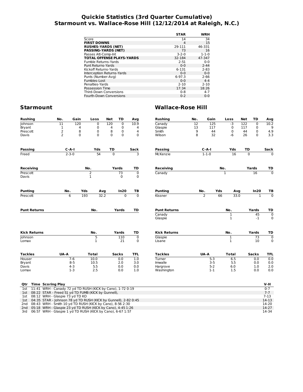#### **Quickie Statistics (3rd Quarter Cumulative) Starmount vs. Wallace-Rose Hill (12/12/2014 at Raleigh, N.C.)**

| <b>STAR</b> | WRH         |
|-------------|-------------|
| 14          | 34          |
| 4           | 15          |
| 29-111      | 46-331      |
| 73          | 16          |
| $3 - 2 - 0$ | $1 - 1 - 0$ |
| 32-184      | 47-347      |
| $2 - 51$    | $0 - 0$     |
| $0 - 0$     | $2 - 44$    |
| $6 - 131$   | $2 - 83$    |
| $0 - 0$     | $0 - 0$     |
| $6-97.3$    | $2 - 66$    |
| $0 - 0$     | $4 - 4$     |
| $2 - 10$    | $2 - 10$    |
| 17:34       | 18:26       |
| $0 - 8$     | $4 - 7$     |
| $0 - 2$     | $0 - 0$     |
|             |             |

| <b>Rushing</b>           | No.            | Gain        |          | Loss           | <b>Net</b>     | TD           | Avg            | <b>Rushing</b>                           | No.             | Gain        |     | Loss                    | <b>Net</b>     | TD                  | Avg                       |
|--------------------------|----------------|-------------|----------|----------------|----------------|--------------|----------------|------------------------------------------|-----------------|-------------|-----|-------------------------|----------------|---------------------|---------------------------|
| Johnson                  | 11             | 120         |          | $\mathbf 0$    | 120            | $\mathbf 0$  | 10.9           | Canady                                   | $\overline{12}$ | 125         |     | $-3$                    | 122            | $\mathbf 0$         | 10.2                      |
| Bryant                   | 1              |             | 4        | 0              | 4              | $\mathbf 0$  | 4              | Glaspie                                  | 13              | 117         |     | 0                       | 117            | 0                   | 9                         |
| Prescott                 | 2              |             | 8        | 0              | 8              | $\mathbf 0$  | 4              | Smith                                    | 9               | 44          |     | $\mathbf 0$             | 44             | 0                   | 4.9                       |
| Davis                    | $\overline{2}$ |             | $\Omega$ | $\Omega$       | $\Omega$       | $\mathbf 0$  | $\mathbf 0$    | Wilson                                   | 8               | 32          |     | $-6$                    | 26             | $\Omega$            | 3.3                       |
| <b>Passing</b>           |                | $C - A - I$ |          | Yds            | TD             |              | Sack           | <b>Passing</b>                           |                 | $C-A-I$     |     | Yds                     | TD             |                     | Sack                      |
| Freed                    |                | $2 - 3 - 0$ |          | 54             | $\overline{0}$ |              | 3              | <b>McKenzie</b>                          |                 | $1 - 1 - 0$ |     | 16                      | $\overline{0}$ |                     | $\overline{0}$            |
| <b>Receiving</b>         |                |             | No.      |                |                | Yards        | TD             | <b>Receiving</b>                         |                 |             | No. |                         |                | Yards               | TD                        |
| Prescott                 |                |             |          | $\overline{2}$ |                | 73           | $\pmb{0}$      | Canady                                   |                 |             |     | $\mathbf{1}$            |                | 16                  | $\overline{0}$            |
| Davis                    |                |             | 1        |                |                | $\mathbf 0$  | 0              |                                          |                 |             |     |                         |                |                     |                           |
| <b>Punting</b>           |                | No.         | Yds      | Avg            |                | In20         | TB             | <b>Punting</b>                           |                 | No.         | Yds | Avg                     |                | In20                | TВ                        |
| Prescott                 |                | 6           | 193      | 32.2           |                | $\Omega$     | $\overline{0}$ | Kissner                                  |                 | 2           | 66  | 33.0                    |                | $\mathbf{1}$        | $\overline{0}$            |
| <b>Punt Returns</b>      |                |             |          | No.            |                | Yards        | TD             | <b>Punt Returns</b><br>Canady<br>Glaspie |                 |             |     | No.<br>1<br>$\mathbf 1$ |                | Yards<br>45<br>$-1$ | TD<br>$\overline{0}$<br>0 |
| <b>Kick Returns</b>      |                |             |          | No.            |                | Yards        | TD             | <b>Kick Returns</b>                      |                 |             |     | No.                     |                | Yards               | TD                        |
| Johnson                  |                |             |          | 5              |                | 110          | $\mathbf 0$    | Glaspie                                  |                 |             |     | $\mathbf{1}$            |                | 73                  | $\mathbf 0$               |
| Lomax                    |                |             |          | $\mathbf{1}$   |                | 21           | 0              | Lisane                                   |                 |             |     | $\mathbf{1}$            |                | 10                  | 0                         |
| <b>Tackles</b>           | UA-A           |             |          | <b>Total</b>   |                | <b>Sacks</b> | <b>TFL</b>     | <b>Tackles</b>                           |                 | UA-A        |     | <b>Total</b>            |                | <b>Sacks</b>        | <b>TFL</b>                |
| Houser                   |                | $7-6$       |          | 10.0           |                | 0.0          | 1.0            | Turner                                   |                 | $5 - 3$     |     | 6.5                     |                | 0.0                 | 0.0                       |
| Bryant                   |                | $8 - 5$     |          | 10.5           |                | 2.0          | 3.0            | Imwalle                                  |                 | $3 - 5$     |     | 5.5                     |                | 0.0                 | 0.0                       |
| Davis                    |                | $4 - 3$     |          | 5.5            |                | 0.0          | 0.0            | Hargrove                                 |                 | $5 - 2$     |     | 6.0                     |                | 1.0                 | 2.0                       |
| Lomax                    |                | $1-3$       |          | 2.5            |                | 0.0          | 1.0            | Washington                               |                 | $1 - 1$     |     | 1.5                     |                | 0.0                 | 0.0                       |
| <b>Time Scoring Play</b> |                |             |          |                |                |              |                |                                          |                 |             |     |                         |                |                     | V-H                       |
| Qtr                      |                |             |          |                |                |              |                |                                          |                 |             |     |                         |                |                     |                           |

|  | <b>VII</b> Time Scoring Play                                        | V-M      |
|--|---------------------------------------------------------------------|----------|
|  | 1st 11:41 WRH - Canady 72 yd TD RUSH (KICK by Cano), 1-72 0:19      | $0 - 7$  |
|  | 1st 08:22 STAR - Freed 51 yd TD FUMB (KICK by Gunnell),             | $7 - 7$  |
|  | 1st 08:12 WRH - Glaspie 73 yd TD KO                                 | $7 - 13$ |
|  | 1st 04:35 STAR - Johnson 78 yd TD RUSH (KICK by Gunnell), 2-82 0:45 | 14-13    |
|  | 2nd 08:43 WRH - Smith 10 yd TD RUSH (KICK by Cano), 8-56 2:30       | 14-20    |
|  | 2nd 05:18 WRH - Glaspie 23 yd TD RUSH (KICK by Cano), 4-45 1:26     | $14-27$  |
|  | 3rd 06:57 WRH - Glaspie 1 yd TD RUSH (KICK by Cano), 6-67 1:57      | 14-34    |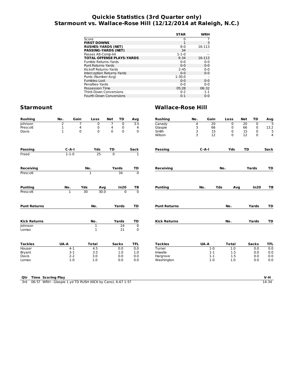#### **Quickie Statistics (3rd Quarter only) Starmount vs. Wallace-Rose Hill (12/12/2014 at Raleigh, N.C.)**

|                                  | <b>STAR</b>  | WRH     |
|----------------------------------|--------------|---------|
| Score                            | 0            |         |
| <b>FIRST DOWNS</b>               | $\mathbf{1}$ | 5       |
| <b>RUSHES-YARDS (NET)</b>        | $8-0$        | 16-113  |
| <b>PASSING-YARDS (NET)</b>       | 34           |         |
| Passes Att-Comp-Int              | $1 - 1 - 0$  |         |
| <b>TOTAL OFFENSE PLAYS-YARDS</b> | $9 - 34$     | 16-113  |
| Fumble Returns-Yards             | $0 - 0$      | $0 - 0$ |
| Punt Returns-Yards               | $0 - 0$      | $0 - 0$ |
| Kickoff Returns-Yards            | $2 - 45$     | $0 - 0$ |
| Interception Returns-Yards       | $0 - 0$      | $0 - 0$ |
| Punts (Number-Avg)               | $1 - 30.0$   |         |
| Fumbles-Lost                     | $0 - 0$      | $0 - 0$ |
| Penalties-Yards                  | $0 - 0$      | $0 - 0$ |
| Possession Time                  | 05:28        | 06:32   |
| <b>Third-Down Conversions</b>    | $0 - 2$      | $1 - 1$ |
| <b>Fourth-Down Conversions</b>   | $0 - 1$      | $0 - 0$ |

## **Starmount Wallace-Rose Hill**

| No.                | Gain<br>Loss         | <b>Net</b>         | TD                                                                                   | Avg                                                                                                               | <b>Rushing</b>                   | No.                     | Gain            | Loss                                   | <b>Net</b> | TD          | Avg                                             |
|--------------------|----------------------|--------------------|--------------------------------------------------------------------------------------|-------------------------------------------------------------------------------------------------------------------|----------------------------------|-------------------------|-----------------|----------------------------------------|------------|-------------|-------------------------------------------------|
| $\overline{2}$     | 7                    | $\Omega$           | $\overline{0}$                                                                       | $\overline{3.5}$                                                                                                  | Canady                           | 4                       | $\overline{20}$ | $\mathbf 0$                            | 20         | $\Omega$    | $\overline{5}$                                  |
|                    | 4                    |                    | 0                                                                                    | 4                                                                                                                 | Glaspie                          |                         |                 | 0                                      | 66         | 0           | 13.2                                            |
|                    |                      |                    |                                                                                      |                                                                                                                   |                                  |                         |                 | 0                                      |            | 0           | 5                                               |
|                    |                      |                    |                                                                                      |                                                                                                                   | Wilson                           | 3                       | 12              | $\mathbf 0$                            | 12         | $\mathbf 0$ | $\overline{4}$                                  |
| $C - A - I$        |                      |                    |                                                                                      | Sack                                                                                                              | <b>Passing</b>                   |                         |                 | Yds                                    | TD         |             | Sack                                            |
| $1 - 1 - 0$        |                      |                    |                                                                                      | $\mathbf{1}$                                                                                                      |                                  |                         |                 |                                        |            |             |                                                 |
|                    | No.                  |                    |                                                                                      | TD                                                                                                                | <b>Receiving</b>                 |                         |                 | No.                                    |            |             | TD                                              |
|                    | $\overline{1}$       |                    | $\overline{34}$                                                                      | $\overline{0}$                                                                                                    |                                  |                         |                 |                                        |            |             |                                                 |
|                    |                      |                    |                                                                                      |                                                                                                                   |                                  |                         |                 |                                        |            |             | TB                                              |
| $\mathbf{1}$       | 30                   | 30.0               | $\Omega$                                                                             | $\overline{0}$                                                                                                    |                                  |                         |                 |                                        |            |             |                                                 |
|                    |                      |                    | Yards                                                                                | TD                                                                                                                | <b>Punt Returns</b>              |                         |                 | No.                                    |            |             | TD                                              |
|                    |                      |                    | Yards                                                                                | TD                                                                                                                | <b>Kick Returns</b>              |                         |                 | No.                                    |            |             | TD                                              |
|                    |                      |                    |                                                                                      |                                                                                                                   |                                  |                         |                 |                                        |            |             |                                                 |
|                    |                      |                    | 21                                                                                   | 0                                                                                                                 |                                  |                         |                 |                                        |            |             |                                                 |
| UA-A               |                      |                    |                                                                                      | <b>TFL</b>                                                                                                        | <b>Tackles</b>                   |                         |                 | <b>Total</b>                           |            |             | <b>TFL</b>                                      |
| $4 - 1$            | 4.5                  |                    | 0.0                                                                                  | 0.0                                                                                                               | Turner                           |                         | $1 - 0$         | 1.0                                    |            | 0.0         | 0.0                                             |
| $3 - 1$            | 3.5                  |                    | 1.0                                                                                  | 1.0                                                                                                               | Imwalle                          |                         | $1 - 1$         | 1.5                                    |            | 0.0         | 0.0                                             |
|                    |                      |                    |                                                                                      | 0.0                                                                                                               | Hargrove                         |                         | $1 - 1$         | 1.5                                    |            | 0.0         | 0.0                                             |
| $2 - 2$<br>$1 - 0$ | 3.0<br>1.0           |                    | 0.0<br>0.0                                                                           | 0.0                                                                                                               | Washington                       |                         | $1 - 0$         | 1.0                                    |            | 0.0         | 0.0                                             |
|                    | $\frac{1}{1}$<br>No. | $\mathbf 0$<br>Yds | 0<br>$\Omega$<br>Yds<br>25<br>Avg<br>No.<br>No.<br>$\mathbf{1}$<br>1<br><b>Total</b> | 7<br>4<br>$\mathbf{0}$<br>$\mathbf 0$<br>TD<br>$\overline{0}$<br>Yards<br>In20<br>$\overline{24}$<br><b>Sacks</b> | $\mathbf 0$<br>TB<br>$\mathbf 0$ | Smith<br><b>Punting</b> | 5<br>3          | 66<br>15<br>$C - A - I$<br>No.<br>UA-A | Yds        | 15<br>Avg   | Yards<br>In20<br>Yards<br>Yards<br><b>Sacks</b> |

3rd 06:57 WRH - Glaspie 1 yd TD RUSH (KICK by Cano), 6-67 1:57 14-34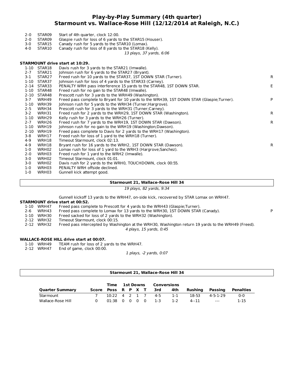#### **Play-by-Play Summary (4th quarter) Starmount vs. Wallace-Rose Hill (12/12/2014 at Raleigh, N.C.)**

|          |                    | 13 plays, 37 yards, 6:06                                                                 |    |
|----------|--------------------|------------------------------------------------------------------------------------------|----|
|          |                    | STARMOUNT drive start at 10:29.                                                          |    |
| 1-10     | STAR18             | Davis rush for 3 yards to the STAR21 (Imwalle).                                          |    |
| $2 - 7$  | STAR21             | Johnson rush for 6 yards to the STAR27 (Bryant).                                         |    |
| 3-1      | STAR <sub>27</sub> | Freed rush for 10 yards to the STAR37, 1ST DOWN STAR (Turner).                           | R. |
| $1 - 10$ | STAR37             | Johnson rush for loss of 4 yards to the STAR33 (Carney).                                 |    |
| $2 - 14$ | STAR33             | PENALTY WRH pass interference 15 yards to the STAR48, 1ST DOWN STAR.                     | E. |
| $1 - 10$ | STAR48             | Freed rush for no gain to the STAR48 (Imwalle).                                          |    |
| 2-10     | STAR48             | Prescott rush for 3 yards to the WRH49 (Washington).                                     |    |
| $3 - 7$  | WRH49              | Freed pass complete to Bryant for 10 yards to the WRH39, 1ST DOWN STAR (Glaspie;Turner). | P  |
|          |                    |                                                                                          |    |
| 1-10     | WRH39              | Johnson rush for 5 yards to the WRH34 (Turner; Hargrove).                                |    |
| $2 - 5$  | WRH34              | Prescott rush for 3 yards to the WRH31 (Turner; Carney).                                 |    |
| $3 - 2$  | WRH31              | Freed rush for 2 yards to the WRH29, 1ST DOWN STAR (Washington).                         | R. |
| $1 - 10$ | WRH29              | Kelly rush for 3 yards to the WRH26 (Turner).                                            |    |
| $2 - 7$  | WRH <sub>26</sub>  | Freed rush for 7 yards to the WRH19, 1ST DOWN STAR (Dawson).                             | R. |
| $1 - 10$ | WRH19              | Johnson rush for no gain to the WRH19 (Washington; Dawson).                              |    |
| $2 - 10$ | WRH19              | Freed pass complete to Davis for 2 yards to the WRH17 (Washington).                      |    |
| $3 - 8$  | WRH17              | Freed rush for loss of 1 yard to the WRH18 (Turner).                                     |    |
| 4-9      | WRH18              | Timeout Starmount, clock 02:13.                                                          |    |
| $4 - 9$  | WRH18              | Bryant rush for 16 yards to the WRH2, 1ST DOWN STAR (Dawson).                            | R. |
| 1-0      | WRH02              | Lomax rush for loss of 1 yard to the WRH3 (Hargrove; Sanchez).                           |    |
| $2 - 0$  | WRH03              | Freed rush for 1 yard to the WRH2 (Imwalle).                                             |    |
| $3-0$    | WRH02              | Timeout Starmount, clock 01:01.                                                          |    |
| $3-0$    | WRH02              | Davis rush for 2 yards to the WRH0, TOUCHDOWN, clock 00:55.                              |    |
| 1-0      | WRH03              | PENALTY WRH offside declined.                                                            |    |

1-0 WRH03 Gunnell kick attempt good.

2-0 STAR09 Start of 4th quarter, clock 12:00.<br>2-0 STAR09 Glaspie rush for loss of 6 vards t

2-0 STAR09 Glaspie rush for loss of 6 yards to the STAR15 (Houser).<br>3-0 STAR15 Canady rush for 5 yards to the STAR10 (Lomax). 3-0 STAR15 Canady rush for 5 yards to the STAR10 (Lomax).

Canady rush for loss of 8 yards to the STAR18 (Kelly).

#### **Starmount 21, Wallace-Rose Hill 34**

19 plays, 82 yards, 9:34

Gunnell kickoff 13 yards to the WRH47, on-side kick, recovered by STAR Lomax on WRH47.

#### **STARMOUNT drive start at 00:52.**

| 1-10 WRH47 | Freed pass complete to Prescott for 4 yards to the WRH43 (Glaspie;Turner).      |  |
|------------|---------------------------------------------------------------------------------|--|
| 2-6 WRH43  | Freed pass complete to Lomax for 13 yards to the WRH30, 1ST DOWN STAR (Canady). |  |

- 1-10 WRH30 Freed sacked for loss of 2 yards to the WRH32 (Washington).
- 2-12 WRH32 Timeout Starmount, clock 00:15.
- 2-12 WRH32 Freed pass intercepted by Washington at the WRH30, Washington return 19 yards to the WRH49 (Freed).

4 plays, 15 yards, 0:45

## **WALLACE-ROSE HILL drive start at 00:07.**

1-10 WRH49 TEAM rush for loss of 2 yards to the WRH47.<br>2-12 WRH47 End of game, clock 00:00.

End of game, clock 00:00.

1 plays, -2 yards, 0:07

| <b>Starmount 21, Wallace-Rose Hill 34</b> |  |                    |   |          |                  |       |         |             |          |          |           |
|-------------------------------------------|--|--------------------|---|----------|------------------|-------|---------|-------------|----------|----------|-----------|
|                                           |  | Time               |   |          | <b>1st Downs</b> |       |         | Conversions |          |          |           |
| <b>Quarter Summary</b>                    |  | Score Poss R P X T |   |          |                  |       | 3rd     | 4th         | Rushing  | Passing  | Penalties |
| Starmount                                 |  | $10:22 \quad 4$    |   |          |                  | 2 1 7 | $4 - 5$ | $1 - 1$     | 18-53    | 4-5-1-29 | $0-0$     |
| Wallace-Rose Hill                         |  | 01:38              | റ | $\Omega$ |                  | റ റ   | -1-3    | $1 - 2$     | $4 - 11$ | $\cdots$ | $1 - 15$  |